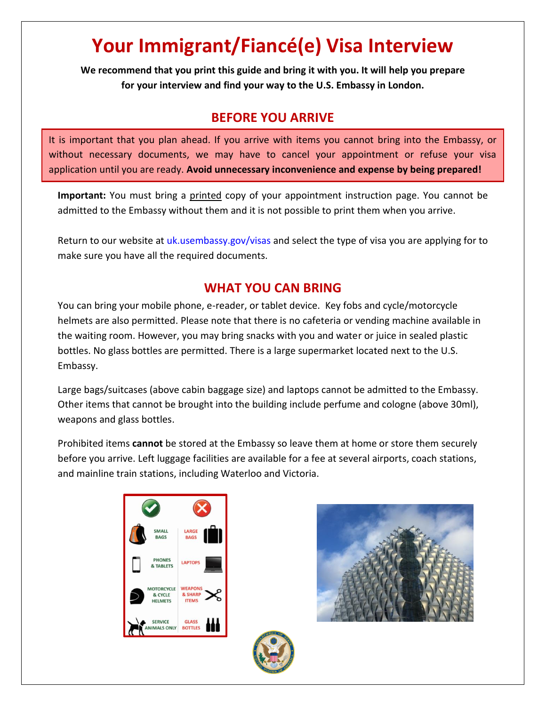# **Your Immigrant/Fiancé(e) Visa Interview**

**We recommend that you print this guide and bring it with you. It will help you prepare for your interview and find your way to the U.S. Embassy in London.** 

#### **BEFORE YOU ARRIVE**

It is important that you plan ahead. If you arrive with items you cannot bring into the Embassy, or without necessary documents, we may have to cancel your appointment or refuse your visa application until you are ready. **Avoid unnecessary inconvenience and expense by being prepared!**

Important: You must bring a printed copy of your appointment instruction page. You cannot be admitted to the Embassy without them and it is not possible to print them when you arrive.

Return to our website at uk.usembassy.gov/visas and select the type of visa you are applying for to make sure you have all the required documents.

#### **WHAT YOU CAN BRING**

You can bring your mobile phone, e-reader, or tablet device. Key fobs and cycle/motorcycle helmets are also permitted. Please note that there is no cafeteria or vending machine available in the waiting room. However, you may bring snacks with you and water or juice in sealed plastic bottles. No glass bottles are permitted. There is a large supermarket located next to the U.S. Embassy.

Large bags/suitcases (above cabin baggage size) and laptops cannot be admitted to the Embassy. Other items that cannot be brought into the building include perfume and cologne (above 30ml), weapons and glass bottles.

Prohibited items **cannot** be stored at the Embassy so leave them at home or store them securely before you arrive. Left luggage facilities are available for a fee at several airports, coach stations, and mainline train stations, including Waterloo and Victoria.